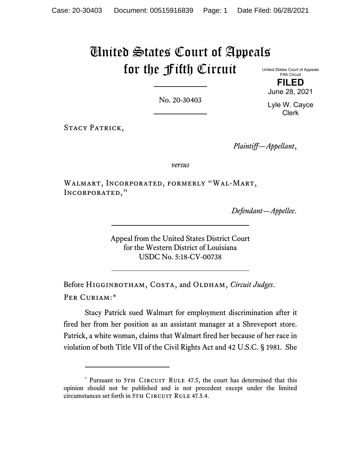# United States Court of Appeals for the Fifth Circuit

United States Court of Appeals Fifth Circuit **FILED**

No. 20-30403

Lyle W. Cayce Clerk

June 28, 2021

STACY PATRICK,

*Plaintiff—Appellant*,

*versus*

Walmart, Incorporated, formerly "Wal-Mart, Incorporated,"

*Defendant—Appellee*.

Appeal from the United States District Court for the Western District of Louisiana USDC No. 5:18-CV-00738

Before HIGGINBOTHAM, COSTA, and OLDHAM, *Circuit Judges*. Per Curiam:[\\*](#page-0-0)

Stacy Patrick sued Walmart for employment discrimination after it fired her from her position as an assistant manager at a Shreveport store. Patrick, a white woman, claims that Walmart fired her because of her race in violation of both Title VII of the Civil Rights Act and 42 U.S.C. § 1981. She

<span id="page-0-0"></span><sup>\*</sup> Pursuant to 5TH CIRCUIT RULE 47.5, the court has determined that this opinion should not be published and is not precedent except under the limited circumstances set forth in 5TH CIRCUIT RULE 47.5.4.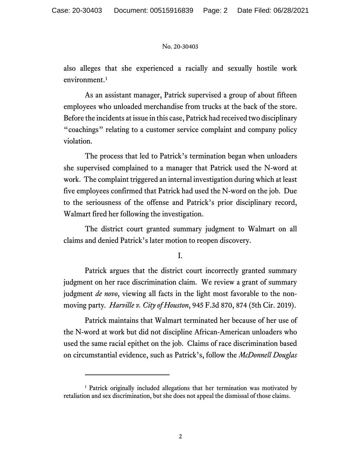also alleges that she experienced a racially and sexually hostile work environment.<sup>[1](#page-1-0)</sup>

As an assistant manager, Patrick supervised a group of about fifteen employees who unloaded merchandise from trucks at the back of the store. Before the incidents at issue in this case, Patrick had received two disciplinary "coachings" relating to a customer service complaint and company policy violation.

The process that led to Patrick's termination began when unloaders she supervised complained to a manager that Patrick used the N-word at work. The complaint triggered an internal investigation during which at least five employees confirmed that Patrick had used the N-word on the job. Due to the seriousness of the offense and Patrick's prior disciplinary record, Walmart fired her following the investigation.

The district court granted summary judgment to Walmart on all claims and denied Patrick's later motion to reopen discovery.

I.

Patrick argues that the district court incorrectly granted summary judgment on her race discrimination claim. We review a grant of summary judgment *de novo*, viewing all facts in the light most favorable to the nonmoving party*. Harville v. City of Houston*, 945 F.3d 870, 874 (5th Cir. 2019).

Patrick maintains that Walmart terminated her because of her use of the N-word at work but did not discipline African-American unloaders who used the same racial epithet on the job. Claims of race discrimination based on circumstantial evidence, such as Patrick's, follow the *McDonnell Douglas*

<span id="page-1-0"></span><sup>&</sup>lt;sup>1</sup> Patrick originally included allegations that her termination was motivated by retaliation and sex discrimination, but she does not appeal the dismissal of those claims.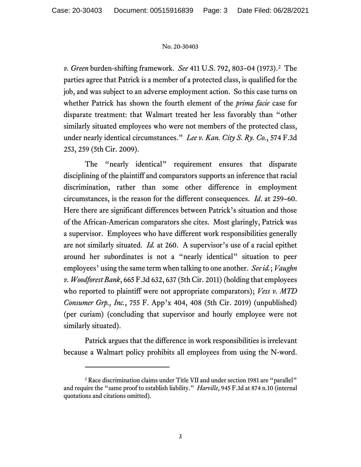*v. Green* burden-shifting framework. *See* 411 U.S. 792, 803–04 (1973). [2](#page-2-0) The parties agree that Patrick is a member of a protected class, is qualified for the job, and was subject to an adverse employment action. So this case turns on whether Patrick has shown the fourth element of the *prima facie* case for disparate treatment: that Walmart treated her less favorably than "other similarly situated employees who were not members of the protected class, under nearly identical circumstances." *Lee v. Kan. City S. Ry. Co.*, 574 F.3d 253, 259 (5th Cir. 2009).

The "nearly identical" requirement ensures that disparate disciplining of the plaintiff and comparators supports an inference that racial discrimination, rather than some other difference in employment circumstances, is the reason for the different consequences. *Id*. at 259–60. Here there are significant differences between Patrick's situation and those of the African-American comparators she cites. Most glaringly, Patrick was a supervisor. Employees who have different work responsibilities generally are not similarly situated. *Id.* at 260. A supervisor's use of a racial epithet around her subordinates is not a "nearly identical" situation to peer employees' using the same term when talking to one another. *See id.*; *Vaughn v. Woodforest Bank*, 665 F.3d 632, 637 (5th Cir. 2011) (holding that employees who reported to plaintiff were not appropriate comparators); *Vess v. MTD Consumer Grp., Inc.*, 755 F. App'x 404, 408 (5th Cir. 2019) (unpublished) (per curiam) (concluding that supervisor and hourly employee were not similarly situated).

Patrick argues that the difference in work responsibilities is irrelevant because a Walmart policy prohibits all employees from using the N-word.

<span id="page-2-0"></span><sup>&</sup>lt;sup>2</sup> Race discrimination claims under Title VII and under section 1981 are "parallel" and require the "same proof to establish liability." *Harville*, 945 F.3d at 874 n.10 (internal quotations and citations omitted).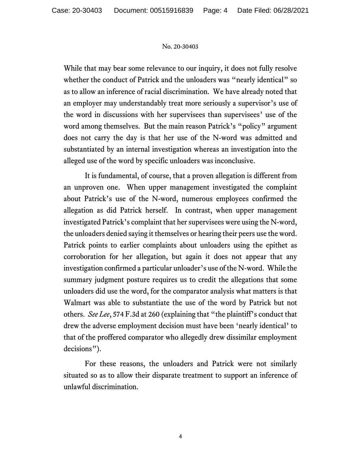While that may bear some relevance to our inquiry, it does not fully resolve whether the conduct of Patrick and the unloaders was "nearly identical" so as to allow an inference of racial discrimination. We have already noted that an employer may understandably treat more seriously a supervisor's use of the word in discussions with her supervisees than supervisees' use of the word among themselves. But the main reason Patrick's "policy" argument does not carry the day is that her use of the N-word was admitted and substantiated by an internal investigation whereas an investigation into the alleged use of the word by specific unloaders was inconclusive.

It is fundamental, of course, that a proven allegation is different from an unproven one. When upper management investigated the complaint about Patrick's use of the N-word, numerous employees confirmed the allegation as did Patrick herself. In contrast, when upper management investigated Patrick's complaint that her supervisees were using the N-word, the unloaders denied saying it themselves or hearing their peers use the word. Patrick points to earlier complaints about unloaders using the epithet as corroboration for her allegation, but again it does not appear that any investigation confirmed a particular unloader's use of the N-word. While the summary judgment posture requires us to credit the allegations that some unloaders did use the word, for the comparator analysis what matters is that Walmart was able to substantiate the use of the word by Patrick but not others. *See Lee*, 574 F.3d at 260 (explaining that "the plaintiff's conduct that drew the adverse employment decision must have been 'nearly identical' to that of the proffered comparator who allegedly drew dissimilar employment decisions").

For these reasons, the unloaders and Patrick were not similarly situated so as to allow their disparate treatment to support an inference of unlawful discrimination.